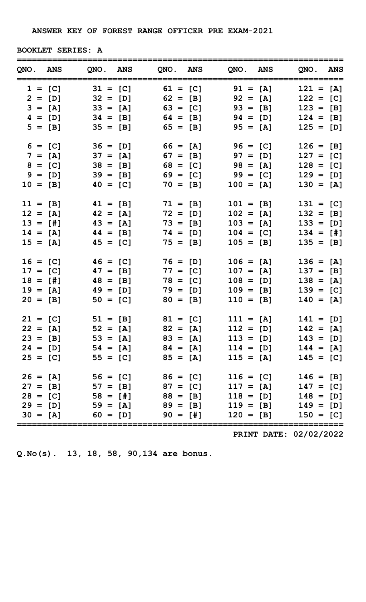| <b>BOOKLET SERIES: A</b> |
|--------------------------|
|                          |

| QNO. ANS   |           |                                              |                     |            | QNO. ANS QNO. ANS QNO. ANS |             | QNO. ANS                                                 |
|------------|-----------|----------------------------------------------|---------------------|------------|----------------------------|-------------|----------------------------------------------------------|
|            |           | $1 = [C]$ $31 = [C]$ $61 = [C]$ $91 = [A]$   |                     |            |                            |             | $121 = [A]$                                              |
|            |           | $2 = [D]$ $32 = [D]$ $62 = [B]$ $92 = [A]$   |                     |            |                            |             | $122 = [C]$                                              |
|            |           | $3 = [A]$ $33 = [A]$ $63 = [C]$ $93 = [B]$   |                     |            |                            |             | $123 = [B]$                                              |
|            |           | $4 = [D]$ $34 = [B]$ $64 = [B]$ $94 = [D]$   |                     |            |                            |             | $124 = [B]$                                              |
|            |           | $5 = [B]$                                    | $35 = [B]$ 65 = [B] |            |                            | $95 = [A]$  | $125 = [D]$                                              |
|            | $6 = [C]$ | $36 = [D]$ $66 = [A]$                        |                     |            |                            | $96 = [C]$  | $126 = [B]$                                              |
|            | $7 = [A]$ | $37 = [A]$                                   |                     | $67 = [B]$ |                            | $97 = [D]$  | $127 = [C]$                                              |
|            | $8 = [C]$ | $38 = [B]$                                   |                     |            | $68 = [C]$ 98 = [A]        |             | $128 = [C]$                                              |
|            |           | $9 = [D]$<br>$39 = [B]$                      |                     | $69 = [C]$ |                            | $99 = [C]$  | $129 = [D]$                                              |
|            |           | $10 = [B]$<br>$40 = [C]$                     |                     | $70 = [B]$ |                            | $100 = [A]$ | $130 = [A]$                                              |
| $11 = [B]$ |           | $41 = [B]$                                   |                     | $71 = [B]$ |                            | $101 = [B]$ | $131 = [C]$                                              |
| $12 = [A]$ |           | $42 = [A]$                                   |                     | $72 = [D]$ |                            | $102 = [A]$ | $132 = [B]$                                              |
| $13 = [1]$ |           | $43 = [A]$                                   |                     | $73 = [B]$ |                            | $103 = [A]$ | $133 = [D]$                                              |
|            |           | $14 = [A]$<br>$44 = [B]$                     |                     | $74 = [D]$ |                            | $104 = [C]$ | $134 = [#]$                                              |
| $15 = [A]$ |           | $45 = [C]$                                   |                     | $75 = [B]$ |                            | $105 = [B]$ | $135 = [B]$                                              |
| $16 = [C]$ |           | $46 = [C]$                                   |                     | $76 = [D]$ |                            | $106 = [A]$ | $136 = [A]$                                              |
| $17 = [C]$ |           | $47 = [B]$                                   |                     | $77 = [C]$ |                            | $107 = [A]$ | $137 = [B]$                                              |
| $18 = [1]$ |           | $48 = [B]$                                   |                     | $78 = [C]$ |                            | $108 = [D]$ | $138 = [A]$                                              |
| $19 = [A]$ |           | $49 = [D]$                                   |                     | $79 = [D]$ |                            | $109 = [B]$ | $139 = [C]$                                              |
| $20 = [B]$ |           | $50 = [C]$                                   |                     | $80 = [B]$ |                            | $110 = [B]$ | $140 = [A]$                                              |
|            |           |                                              |                     |            |                            |             | $21 = [C]$ $51 = [B]$ $81 = [C]$ $111 = [A]$ $141 = [D]$ |
|            |           |                                              |                     |            |                            |             | $22 = [A]$ $52 = [A]$ $82 = [A]$ $112 = [D]$ $142 = [A]$ |
|            |           |                                              |                     |            |                            |             | $23 = [B]$ $53 = [A]$ $83 = [A]$ $113 = [D]$ $143 = [D]$ |
|            |           |                                              |                     |            |                            |             | $24 = [D]$ $54 = [A]$ $84 = [A]$ $114 = [D]$ $144 = [A]$ |
|            |           | $25 = [C]$ $55 = [C]$ $85 = [A]$ $115 = [A]$ |                     |            |                            |             | $145 = [C]$                                              |
|            |           | $26 = [A]$ $56 = [C]$ $86 = [C]$ $116 = [C]$ |                     |            |                            |             | $146 = [B]$                                              |
|            |           | $27 = [B]$ $57 = [B]$ $87 = [C]$ $117 = [A]$ |                     |            |                            |             | $147 = [C]$                                              |
|            |           |                                              |                     |            |                            |             | $28 = [C]$ $58 = [H]$ $88 = [B]$ $118 = [D]$ $148 = [D]$ |
|            |           |                                              |                     |            |                            |             | $29 = [D]$ $59 = [A]$ $89 = [B]$ $119 = [B]$ $149 = [D]$ |
|            |           |                                              |                     |            |                            |             | $30 = [A]$ 60 = [D] 90 = [#] 120 = [B] 150 = [C]         |

PRINT DATE: 02/02/2022

Q.No(s). 13, 18, 58, 90,134 are bonus.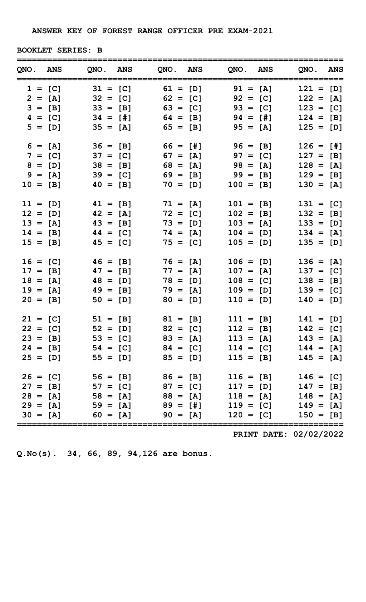| <b>BOOKLET SERIES: B</b> |
|--------------------------|
|                          |

| QNO. ANS   |           |                                              |                     |            | QNO. ANS QNO. ANS QNO. ANS | QNO. ANS                                                 |
|------------|-----------|----------------------------------------------|---------------------|------------|----------------------------|----------------------------------------------------------|
|            |           | $1 = [C]$ $31 = [C]$ $61 = [D]$ $91 = [A]$   |                     |            |                            | $121 = [D]$                                              |
|            |           | $2 = [A]$ $32 = [C]$ $62 = [C]$ $92 = [C]$   |                     |            |                            | $122 = [A]$                                              |
|            |           | $3 = [B]$ $33 = [B]$ $63 = [C]$ $93 = [C]$   |                     |            |                            | $123 = [C]$                                              |
|            |           | $4 = [C]$ $34 = [H]$ $64 = [B]$ $94 = [H]$   |                     |            |                            | $124 = [B]$                                              |
|            |           | $5 = [D]$                                    | $35 = [A]$ 65 = [B] |            | $95 = [A]$                 | $125 = [D]$                                              |
|            | $6 = [A]$ | $36 = [B]$ $66 = [H]$                        |                     |            | $96 = [B]$                 | $126 = [1]$                                              |
|            | $7 = [C]$ | $37 = [C]$                                   |                     | $67 = [A]$ | $97 = [C]$                 | $127 = [B]$                                              |
|            | $8 = [D]$ | $38 = [B]$                                   |                     |            | $68 = [A]$ 98 = [A]        | $128 = [A]$                                              |
|            |           | $9 = [A]$<br>$39 = [C]$                      |                     | $69 = [B]$ | $99 = [B]$                 | $129 = [B]$                                              |
|            |           | $10 = [B]$<br>$40 = [B]$                     |                     | $70 = [D]$ | $100 = [B]$                | $130 = [A]$                                              |
| $11 = [D]$ |           | $41 = [B]$                                   |                     | $71 = [A]$ | $101 = [B]$                | $131 = [C]$                                              |
|            |           | $12 = [D]$<br>$42 = [A]$                     |                     | $72 = [C]$ | $102 = [B]$                | $132 = [B]$                                              |
| $13 = [A]$ |           | $43 = [B]$                                   |                     | $73 = [D]$ | $103 = [A]$                | $133 = [D]$                                              |
|            |           | $14 = [B]$<br>$44 = [C]$                     |                     | $74 = [A]$ | $104 = [D]$                | $134 = [A]$                                              |
| $15 = [B]$ |           | $45 = [C]$                                   |                     | $75 = [C]$ | $105 = [D]$                | $135 = [D]$                                              |
| $16 = [C]$ |           | $46 = [B]$                                   |                     | $76 = [A]$ | $106 = [D]$                | $136 = [A]$                                              |
| $17 = [B]$ |           | $47 = [B]$                                   |                     | $77 = [A]$ | $107 = [A]$                | $137 = [C]$                                              |
| $18 = [A]$ |           | $48 = [D]$                                   |                     | $78 = [D]$ | $108 = [C]$                | $138 = [B]$                                              |
| $19 = [A]$ |           | $49 = [B]$                                   |                     | $79 = [A]$ | $109 = [D]$                | $139 = [C]$                                              |
| $20 = [B]$ |           | $50 = [D]$                                   |                     | $80 = [D]$ | $110 = [D]$                | $140 = [D]$                                              |
|            |           |                                              |                     |            |                            | $21 = [C]$ $51 = [B]$ $81 = [B]$ $111 = [B]$ $141 = [D]$ |
|            |           |                                              |                     |            |                            | $22 = [C]$ 52 = [D] 82 = [C] 112 = [B] 142 = [C]         |
|            |           |                                              |                     |            |                            | $23 = [B]$ $53 = [C]$ $83 = [A]$ $113 = [A]$ $143 = [A]$ |
|            |           |                                              |                     |            |                            | $24 = [B]$ $54 = [C]$ $84 = [C]$ $114 = [C]$ $144 = [A]$ |
|            |           | $25 = [D]$ $55 = [D]$ $85 = [D]$ $115 = [B]$ |                     |            |                            | $145 = [A]$                                              |
|            |           | $26 = [C]$ $56 = [B]$ $86 = [B]$             |                     |            | $116 = [B]$                | $146 = [C]$                                              |
|            |           | $27 = [B]$ $57 = [C]$ $87 = [C]$             |                     |            | $117 = [D]$                | $147 = [B]$                                              |
|            |           |                                              |                     |            |                            | $28 = [A]$ $58 = [A]$ $88 = [A]$ $118 = [A]$ $148 = [A]$ |
|            |           |                                              |                     |            |                            | $29 = [A]$ $59 = [A]$ $89 = [H]$ $119 = [C]$ $149 = [A]$ |
|            |           |                                              |                     |            |                            | $30 = [A]$ 60 = [A] 90 = [A] 120 = [C] 150 = [B]         |

PRINT DATE: 02/02/2022

Q.No(s). 34, 66, 89, 94,126 are bonus.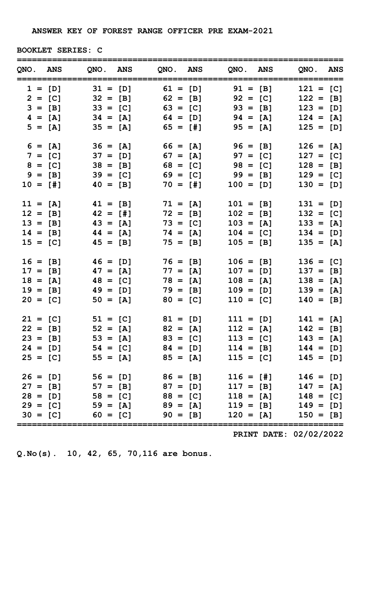BOOKLET SERIES: C

| QNO. ANS   |                                              |                     |             | QNO. ANS QNO. ANS QNO. ANS | QNO. ANS                                                 |
|------------|----------------------------------------------|---------------------|-------------|----------------------------|----------------------------------------------------------|
|            | $1 = [D]$ $31 = [D]$ $61 = [D]$ $91 = [B]$   |                     |             |                            | $121 = [C]$                                              |
|            | $2 = [C]$ $32 = [B]$ $62 = [B]$ $92 = [C]$   |                     |             |                            | $122 = [B]$                                              |
|            | $3 = [B]$ $33 = [C]$ $63 = [C]$ $93 = [B]$   |                     |             |                            | $123 = [D]$                                              |
|            | $4 = [A]$ $34 = [A]$ $64 = [D]$ $94 = [A]$   |                     |             |                            | $124 = [A]$                                              |
| $5 = [A]$  |                                              | $35 = [A]$ 65 = [#] |             | $95 = [A]$                 | $125 = [D]$                                              |
| $6 = [A]$  | $36 = [A]$ $66 = [A]$ $96 = [B]$             |                     |             |                            | $126 = [A]$                                              |
| $7 = [C]$  | $37 = [D]$                                   |                     | $67 = [A]$  | $97 = [C]$                 | $127 = [C]$                                              |
| $8 = [C]$  | $38 = [B]$                                   |                     |             | $68 = [C]$ 98 = [C]        | $128 = [B]$                                              |
| $9 = [B]$  | $39 = [C]$                                   |                     | $69 = [C]$  | $99 = [B]$                 | $129 = [C]$                                              |
| $10 = [1]$ | $40 = [B]$                                   |                     | $70 = [11]$ | $100 = [D]$                | $130 = [D]$                                              |
| $11 = [A]$ | $41 = [B]$                                   |                     | $71 = [A]$  | $101 = [B]$                | $131 = [D]$                                              |
| $12 = [B]$ | $42 = [1]$                                   |                     | $72 = [B]$  | $102 = [B]$                | $132 = [C]$                                              |
| $13 = [B]$ | $43 = [A]$                                   |                     | $73 = [C]$  | $103 = [A]$                | $133 = [A]$                                              |
| $14 = [B]$ | $44 = [A]$                                   |                     | $74 = [A]$  | $104 = [C]$                | $134 = [D]$                                              |
| $15 = [C]$ | $45 = [B]$                                   |                     | $75 = [B]$  | $105 = [B]$                | $135 = [A]$                                              |
| $16 = [B]$ | $46 = [D]$                                   |                     | $76 = [B]$  | $106 = [B]$                | $136 = [C]$                                              |
| $17 = [B]$ | $47 = [A]$                                   |                     | $77 = [A]$  | $107 = [D]$                | $137 = [B]$                                              |
| $18 = [A]$ | $48 = [C]$                                   |                     | $78 = [A]$  | $108 = [A]$                | $138 = [A]$                                              |
| $19 = [B]$ | $49 = [D]$                                   |                     | $79 = [B]$  | $109 = [D]$                | $139 = [A]$                                              |
| $20 = [C]$ | $50 = [A]$                                   |                     | $80 = [C]$  | $110 = [C]$                | $140 = [B]$                                              |
|            |                                              |                     |             |                            | $21 = [C]$ $51 = [C]$ $81 = [D]$ $111 = [D]$ $141 = [A]$ |
|            |                                              |                     |             |                            | $22 = [B]$ $52 = [A]$ $82 = [A]$ $112 = [A]$ $142 = [B]$ |
|            |                                              |                     |             |                            | $23 = [B]$ $53 = [A]$ $83 = [C]$ $113 = [C]$ $143 = [A]$ |
|            |                                              |                     |             |                            | $24 = [D]$ $54 = [C]$ $84 = [D]$ $114 = [B]$ $144 = [D]$ |
|            | $25 = [C]$ $55 = [A]$ $85 = [A]$ $115 = [C]$ |                     |             |                            | $145 = [D]$                                              |
|            | $26 = [D]$ $56 = [D]$ $86 = [B]$             |                     |             | $116 = [1]$                | $146 = [D]$                                              |
|            |                                              |                     |             |                            | $27 = [B]$ $57 = [B]$ $87 = [D]$ $117 = [B]$ $147 = [A]$ |
|            |                                              |                     |             |                            | $28 = [D]$ $58 = [C]$ $88 = [C]$ $118 = [A]$ $148 = [C]$ |
|            |                                              |                     |             |                            | $29 = [C]$ $59 = [A]$ $89 = [A]$ $119 = [B]$ $149 = [D]$ |
|            |                                              |                     |             |                            | $30 = [C]$ 60 = [C] 90 = [B] 120 = [A] 150 = [B]         |

PRINT DATE: 02/02/2022

Q.No(s). 10, 42, 65, 70,116 are bonus.